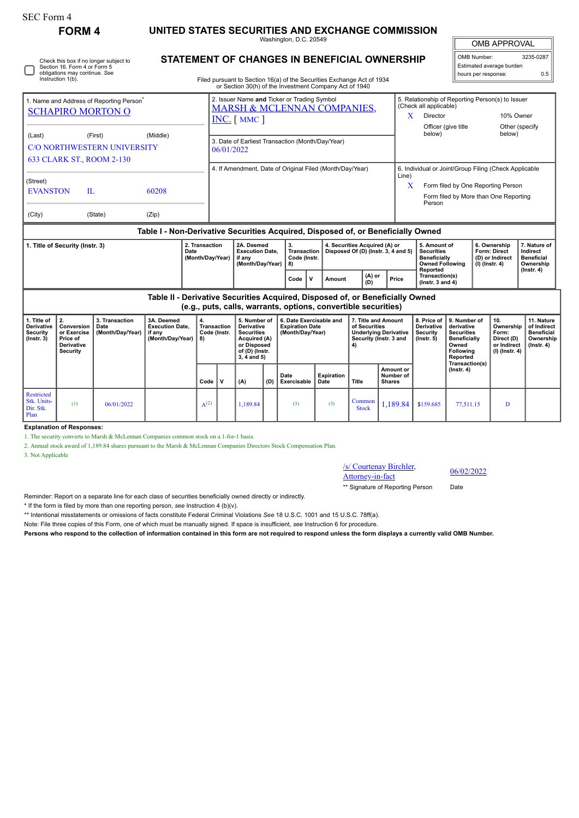| SEC Form 4                                                                                                                   | <b>FORM4</b>                                                                                                                                    |                                                                            | UNITED STATES SECURITIES AND EXCHANGE COMMISSION                                          |                                                                                                         |                                                                                                                            |                                                                                                                            |                                                |                                                                                                                                                                                         |                                                                      |                                            |                                                                                                                                                   |                                                                                                                                                     |                                                                                                                                   |                                                                   |                                                                          |                                                                                 |
|------------------------------------------------------------------------------------------------------------------------------|-------------------------------------------------------------------------------------------------------------------------------------------------|----------------------------------------------------------------------------|-------------------------------------------------------------------------------------------|---------------------------------------------------------------------------------------------------------|----------------------------------------------------------------------------------------------------------------------------|----------------------------------------------------------------------------------------------------------------------------|------------------------------------------------|-----------------------------------------------------------------------------------------------------------------------------------------------------------------------------------------|----------------------------------------------------------------------|--------------------------------------------|---------------------------------------------------------------------------------------------------------------------------------------------------|-----------------------------------------------------------------------------------------------------------------------------------------------------|-----------------------------------------------------------------------------------------------------------------------------------|-------------------------------------------------------------------|--------------------------------------------------------------------------|---------------------------------------------------------------------------------|
|                                                                                                                              |                                                                                                                                                 |                                                                            |                                                                                           |                                                                                                         |                                                                                                                            |                                                                                                                            | <b>OMB APPROVAL</b>                            |                                                                                                                                                                                         |                                                                      |                                            |                                                                                                                                                   |                                                                                                                                                     |                                                                                                                                   |                                                                   |                                                                          |                                                                                 |
| Check this box if no longer subject to<br>Section 16. Form 4 or Form 5<br>obligations may continue. See<br>Instruction 1(b). |                                                                                                                                                 |                                                                            |                                                                                           |                                                                                                         |                                                                                                                            |                                                                                                                            |                                                | <b>STATEMENT OF CHANGES IN BENEFICIAL OWNERSHIP</b><br>Filed pursuant to Section 16(a) of the Securities Exchange Act of 1934<br>or Section 30(h) of the Investment Company Act of 1940 |                                                                      |                                            |                                                                                                                                                   |                                                                                                                                                     | OMB Number:<br>hours per response:                                                                                                |                                                                   | Estimated average burden                                                 | 3235-0287<br>0.5                                                                |
|                                                                                                                              | 1. Name and Address of Reporting Person <sup>7</sup><br><b>SCHAPIRO MORTON O</b>                                                                |                                                                            |                                                                                           | 2. Issuer Name and Ticker or Trading Symbol<br><b>MARSH &amp; MCLENNAN COMPANIES,</b><br>$INC.$ [ MMC ] |                                                                                                                            |                                                                                                                            |                                                |                                                                                                                                                                                         |                                                                      |                                            | 5. Relationship of Reporting Person(s) to Issuer<br>(Check all applicable)<br>Director<br>10% Owner<br>X<br>Officer (give title<br>Other (specify |                                                                                                                                                     |                                                                                                                                   |                                                                   |                                                                          |                                                                                 |
| (Last)                                                                                                                       |                                                                                                                                                 | (First)<br><b>C/O NORTHWESTERN UNIVERSITY</b><br>633 CLARK ST., ROOM 2-130 | (Middle)                                                                                  |                                                                                                         | 3. Date of Earliest Transaction (Month/Day/Year)<br>06/01/2022<br>4. If Amendment, Date of Original Filed (Month/Day/Year) |                                                                                                                            |                                                |                                                                                                                                                                                         |                                                                      |                                            |                                                                                                                                                   | below)                                                                                                                                              |                                                                                                                                   |                                                                   | below)                                                                   |                                                                                 |
| (Street)<br><b>EVANSTON</b><br>П.                                                                                            |                                                                                                                                                 |                                                                            | 60208                                                                                     |                                                                                                         |                                                                                                                            |                                                                                                                            |                                                |                                                                                                                                                                                         |                                                                      |                                            | Line)                                                                                                                                             | 6. Individual or Joint/Group Filing (Check Applicable<br>Form filed by One Reporting Person<br>X<br>Form filed by More than One Reporting<br>Person |                                                                                                                                   |                                                                   |                                                                          |                                                                                 |
| (City)                                                                                                                       |                                                                                                                                                 | (State)                                                                    | (Zip)<br>Table I - Non-Derivative Securities Acquired, Disposed of, or Beneficially Owned |                                                                                                         |                                                                                                                            |                                                                                                                            |                                                |                                                                                                                                                                                         |                                                                      |                                            |                                                                                                                                                   |                                                                                                                                                     |                                                                                                                                   |                                                                   |                                                                          |                                                                                 |
| 1. Title of Security (Instr. 3)<br>Date                                                                                      |                                                                                                                                                 |                                                                            | 2. Transaction<br>(Month/Day/Year)                                                        |                                                                                                         | 2A. Deemed<br><b>Execution Date.</b><br>if any<br>(Month/Day/Year)                                                         |                                                                                                                            | 3.<br><b>Transaction</b><br>Code (Instr.<br>8) |                                                                                                                                                                                         | 4. Securities Acquired (A) or<br>Disposed Of (D) (Instr. 3, 4 and 5) |                                            | 5. Amount of<br><b>Securities</b><br><b>Beneficially</b><br><b>Owned Following</b>                                                                |                                                                                                                                                     |                                                                                                                                   | 6. Ownership<br>Form: Direct<br>(D) or Indirect<br>(I) (Instr. 4) | 7. Nature of<br>Indirect<br><b>Beneficial</b><br>Ownership               |                                                                                 |
|                                                                                                                              |                                                                                                                                                 |                                                                            |                                                                                           |                                                                                                         |                                                                                                                            |                                                                                                                            | V<br>Code                                      | Amount                                                                                                                                                                                  | (A) or<br>(D)                                                        | Price                                      | Reported<br>Transaction(s)<br>( $lnstr. 3 and 4$ )                                                                                                |                                                                                                                                                     |                                                                                                                                   |                                                                   | $($ Instr. 4 $)$                                                         |                                                                                 |
|                                                                                                                              | Table II - Derivative Securities Acquired, Disposed of, or Beneficially Owned<br>(e.g., puts, calls, warrants, options, convertible securities) |                                                                            |                                                                                           |                                                                                                         |                                                                                                                            |                                                                                                                            |                                                |                                                                                                                                                                                         |                                                                      |                                            |                                                                                                                                                   |                                                                                                                                                     |                                                                                                                                   |                                                                   |                                                                          |                                                                                 |
| 1. Title of<br>Derivative<br>Security<br>$($ Instr. 3 $)$                                                                    | 2.<br>Conversion<br>or Exercise<br>Price of<br>Derivative<br>Security                                                                           | 3. Transaction<br>Date<br>(Month/Day/Year)                                 | 3A. Deemed<br><b>Execution Date.</b><br>if any<br>(Month/Day/Year)                        | 4.<br><b>Transaction</b><br>Code (Instr.<br>8)                                                          |                                                                                                                            | 5. Number of<br><b>Derivative</b><br><b>Securities</b><br>Acquired (A)<br>or Disposed<br>of (D) (Instr.<br>$3, 4$ and $5)$ |                                                | 6. Date Exercisable and<br><b>Expiration Date</b><br>(Month/Day/Year)                                                                                                                   |                                                                      | 7. Title and Amount<br>of Securities<br>4) | <b>Underlying Derivative</b><br>Security (Instr. 3 and                                                                                            | 8. Price of<br><b>Derivative</b><br>Security<br>$($ lnstr. 5 $)$                                                                                    | 9. Number of<br>derivative<br><b>Securities</b><br><b>Beneficially</b><br>Owned<br><b>Following</b><br>Reported<br>Transaction(s) |                                                                   | 10.<br>Ownership<br>Form:<br>Direct (D)<br>or Indirect<br>(I) (Instr. 4) | 11. Nature<br>of Indirect<br><b>Beneficial</b><br>Ownership<br>$($ lnstr. 4 $)$ |
|                                                                                                                              |                                                                                                                                                 |                                                                            |                                                                                           | Code                                                                                                    | v                                                                                                                          | (A)                                                                                                                        | (D)                                            | Date<br>Exercisable                                                                                                                                                                     | <b>Expiration</b><br>Date                                            | <b>Title</b>                               | Amount or<br>Number of<br><b>Shares</b>                                                                                                           |                                                                                                                                                     | $($ Instr. 4 $)$                                                                                                                  |                                                                   |                                                                          |                                                                                 |
| Restricted<br>Stk. Units-<br>Dir. Stk.<br>Plan                                                                               | (1)                                                                                                                                             | 06/01/2022                                                                 |                                                                                           | $A^{(2)}$                                                                                               |                                                                                                                            | 1,189.84                                                                                                                   |                                                | (3)                                                                                                                                                                                     | (3)                                                                  | Common<br><b>Stock</b>                     | 1.189.84                                                                                                                                          | \$159.685                                                                                                                                           | 77,511.15                                                                                                                         |                                                                   | D                                                                        |                                                                                 |

**Explanation of Responses:**

1. The security converts to Marsh & McLennan Companies common stock on a 1-for-1 basis.

2. Annual stock award of 1,189.84 shares pursuant to the Marsh & McLennan Companies Directors Stock Compensation Plan.

3. Not Applicable

/s/ Courtenay Birchler,  $\frac{\text{S} \cdot \text{C} \cdot \text{C} \cdot \text{C} \cdot \text{C} \cdot \text{C} \cdot \text{C}}{ \text{Attorney-in-factor}}$  06/02/2022

\*\* Signature of Reporting Person Date

Reminder: Report on a separate line for each class of securities beneficially owned directly or indirectly.

\* If the form is filed by more than one reporting person, *see* Instruction 4 (b)(v).

\*\* Intentional misstatements or omissions of facts constitute Federal Criminal Violations *See* 18 U.S.C. 1001 and 15 U.S.C. 78ff(a).

Note: File three copies of this Form, one of which must be manually signed. If space is insufficient, *see* Instruction 6 for procedure.

**Persons who respond to the collection of information contained in this form are not required to respond unless the form displays a currently valid OMB Number.**